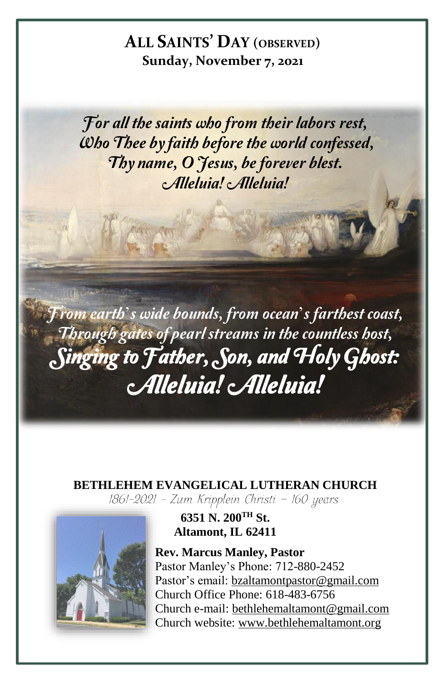# **ALL SAINTS' DAY (OBSERVED) Sunday, November 7, 2021**

For all the saints who from their labors rest, Who Thee by faith before the world confessed, Thy name, O Jesus, be forever blest. Alleluia! Alleluia!

From earth's wide bounds, from ocean's farthest coast, Through gates of pearl streams in the countless host, Singing to Father, Son, and Holy Ghost: Alleluia! Alleluia!

**BETHLEHEM EVANGELICAL LUTHERAN CHURCH**<br>[861-2021 - Zum Kripplein Christi - 160 years]



**6351 N. 200TH St. Altamont, IL 62411**

**Rev. Marcus Manley, Pastor** Pastor Manley's Phone: 712-880-2452 Pastor's email[: bzaltamontpastor@gmail.com](mailto:bzaltamontpastor@gmail.com) Church Office Phone: 618-483-6756 Church e-mail: [bethlehemaltamont@gmail.com](mailto:bethlehemaltamont@gmail.com) Church website: [www.bethlehemaltamont.org](http://www.bethlehemaltamont.org/)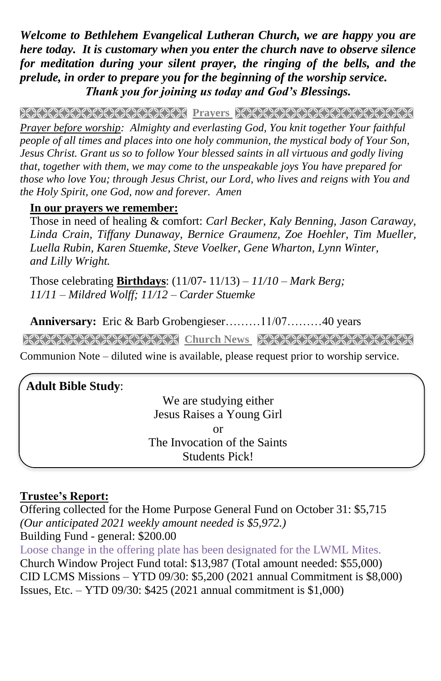*Welcome to Bethlehem Evangelical Lutheran Church, we are happy you are here today. It is customary when you enter the church nave to observe silence for meditation during your silent prayer, the ringing of the bells, and the prelude, in order to prepare you for the beginning of the worship service. Thank you for joining us today and God's Blessings.*

**Prayers** 

*Prayer before worship: Almighty and everlasting God, You knit together Your faithful people of all times and places into one holy communion, the mystical body of Your Son, Jesus Christ. Grant us so to follow Your blessed saints in all virtuous and godly living that, together with them, we may come to the unspeakable joys You have prepared for those who love You; through Jesus Christ, our Lord, who lives and reigns with You and the Holy Spirit, one God, now and forever. Amen*

## **In our prayers we remember:**

Those in need of healing & comfort: *Carl Becker, Kaly Benning, Jason Caraway, Linda Crain, Tiffany Dunaway, Bernice Graumenz, Zoe Hoehler, Tim Mueller, Luella Rubin, Karen Stuemke, Steve Voelker, Gene Wharton, Lynn Winter, and Lilly Wright.*

Those celebrating **Birthdays**: (11/07- 11/13) *– 11/10 – Mark Berg; 11/11 – Mildred Wolff; 11/12 – Carder Stuemke*

**Anniversary:** Eric & Barb Grobengieser………11/07………40 years

**Church News Street Church News RECONSTRECTION** 

Communion Note – diluted wine is available, please request prior to worship service.

### **Adult Bible Study**:

We are studying either Jesus Raises a Young Girl or The Invocation of the Saints Students Pick!

## **Trustee's Report:**

Offering collected for the Home Purpose General Fund on October 31: \$5,715 *(Our anticipated 2021 weekly amount needed is \$5,972.)*  Building Fund - general: \$200.00 Loose change in the offering plate has been designated for the LWML Mites. Church Window Project Fund total: \$13,987 (Total amount needed: \$55,000) CID LCMS Missions – YTD 09/30: \$5,200 (2021 annual Commitment is \$8,000) Issues, Etc. – YTD 09/30: \$425 (2021 annual commitment is \$1,000)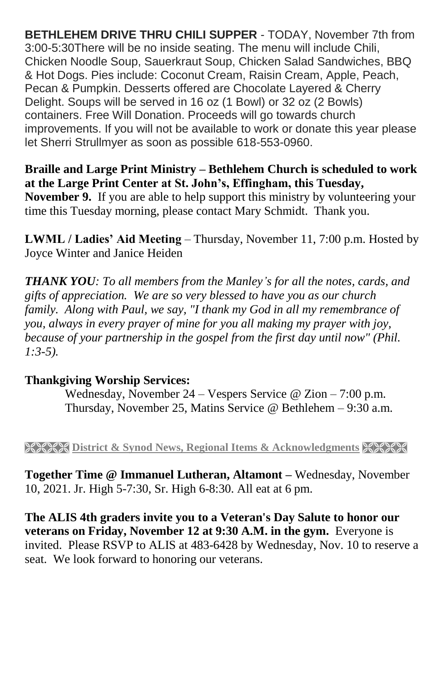**BETHLEHEM DRIVE THRU CHILI SUPPER** - TODAY, November 7th from 3:00-5:30There will be no inside seating. The menu will include Chili, Chicken Noodle Soup, Sauerkraut Soup, Chicken Salad Sandwiches, BBQ & Hot Dogs. Pies include: Coconut Cream, Raisin Cream, Apple, Peach, Pecan & Pumpkin. Desserts offered are Chocolate Layered & Cherry Delight. Soups will be served in 16 oz (1 Bowl) or 32 oz (2 Bowls) containers. Free Will Donation. Proceeds will go towards church improvements. If you will not be available to work or donate this year please let Sherri Strullmyer as soon as possible 618-553-0960.

**Braille and Large Print Ministry – Bethlehem Church is scheduled to work at the Large Print Center at St. John's, Effingham, this Tuesday, November 9.** If you are able to help support this ministry by volunteering your time this Tuesday morning, please contact Mary Schmidt. Thank you.

**LWML / Ladies' Aid Meeting** – Thursday, November 11, 7:00 p.m. Hosted by Joyce Winter and Janice Heiden

*THANK YOU: To all members from the Manley's for all the notes, cards, and gifts of appreciation. We are so very blessed to have you as our church family. Along with Paul, we say, "I thank my God in all my remembrance of you, always in every prayer of mine for you all making my prayer with joy, because of your partnership in the gospel from the first day until now" (Phil. 1:3-5).*

## **Thankgiving Worship Services:**

Wednesday, November 24 – Vespers Service @ Zion – 7:00 p.m. Thursday, November 25, Matins Service @ Bethlehem – 9:30 a.m.

**EXEM District & Synod News, Regional Items & Acknowledgments** 

**Together Time @ Immanuel Lutheran, Altamont –** Wednesday, November 10, 2021. Jr. High 5-7:30, Sr. High 6-8:30. All eat at 6 pm.

**The ALIS 4th graders invite you to a Veteran's Day Salute to honor our veterans on Friday, November 12 at 9:30 A.M. in the gym.** Everyone is invited. Please RSVP to ALIS at 483-6428 by Wednesday, Nov. 10 to reserve a seat. We look forward to honoring our veterans.